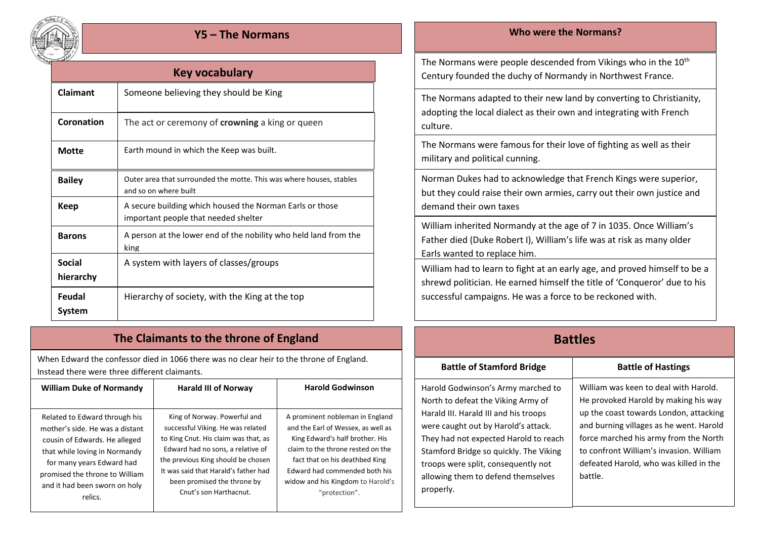

| Key vocabulary             |                                                                                                  |  |
|----------------------------|--------------------------------------------------------------------------------------------------|--|
| Claimant                   | Someone believing they should be King                                                            |  |
| <b>Coronation</b>          | The act or ceremony of <b>crowning</b> a king or queen                                           |  |
| <b>Motte</b>               | Earth mound in which the Keep was built.                                                         |  |
| <b>Bailey</b>              | Outer area that surrounded the motte. This was where houses, stables<br>and so on where built    |  |
| Keep                       | A secure building which housed the Norman Earls or those<br>important people that needed shelter |  |
| <b>Barons</b>              | A person at the lower end of the nobility who held land from the<br>king                         |  |
| <b>Social</b><br>hierarchy | A system with layers of classes/groups                                                           |  |
| Feudal<br>System           | Hierarchy of society, with the King at the top                                                   |  |

## **The Claimants to the throne of England**

When Edward the confessor died in 1066 there was no clear heir to the throne of England. Instead there were three different claimants.

| <b>William Duke of Normandy</b> | <b>Harald III of Norway</b>          | <b>Harold Godwinson</b>            |
|---------------------------------|--------------------------------------|------------------------------------|
| Related to Edward through his   | King of Norway. Powerful and         | A prominent nobleman in England    |
| mother's side. He was a distant | successful Viking. He was related    | and the Earl of Wessex, as well as |
| cousin of Edwards. He alleged   | to King Cnut. His claim was that, as | King Edward's half brother. His    |
| that while loving in Normandy   | Edward had no sons, a relative of    | claim to the throne rested on the  |
| for many years Edward had       | the previous King should be chosen   | fact that on his deathbed King     |
| promised the throne to William  | It was said that Harald's father had | Edward had commended both his      |
| and it had been sworn on holy   | been promised the throne by          | widow and his Kingdom to Harold's  |
| relics.                         | Cnut's son Harthacnut.               | "protection".                      |

### **Y5 – The Normans Who were the Normans?**

The Normans were people descended from Vikings who in the  $10<sup>th</sup>$ Century founded the duchy of Normandy in Northwest France.

The Normans adapted to their new land by converting to Christianity, adopting the local dialect as their own and integrating with French culture.

The Normans were famous for their love of fighting as well as their military and political cunning.

Norman Dukes had to acknowledge that French Kings were superior, but they could raise their own armies, carry out their own justice and demand their own taxes

William inherited Normandy at the age of 7 in 1035. Once William's Father died (Duke Robert I), William's life was at risk as many older Earls wanted to replace him.

William had to learn to fight at an early age, and proved himself to be a shrewd politician. He earned himself the title of 'Conqueror' due to his successful campaigns. He was a force to be reckoned with.

# **Battles**

#### **Battle of Stamford Bridge**  Battle of Hastings

Harold Godwinson's Army marched to North to defeat the Viking Army of Harald III. Harald III and his troops were caught out by Harold's attack. They had not expected Harold to reach Stamford Bridge so quickly. The Viking troops were split, consequently not allowing them to defend themselves properly.

William was keen to deal with Harold. He provoked Harold by making his way up the coast towards London, attacking and burning villages as he went. Harold force marched his army from the North to confront William's invasion. William defeated Harold, who was killed in the battle.